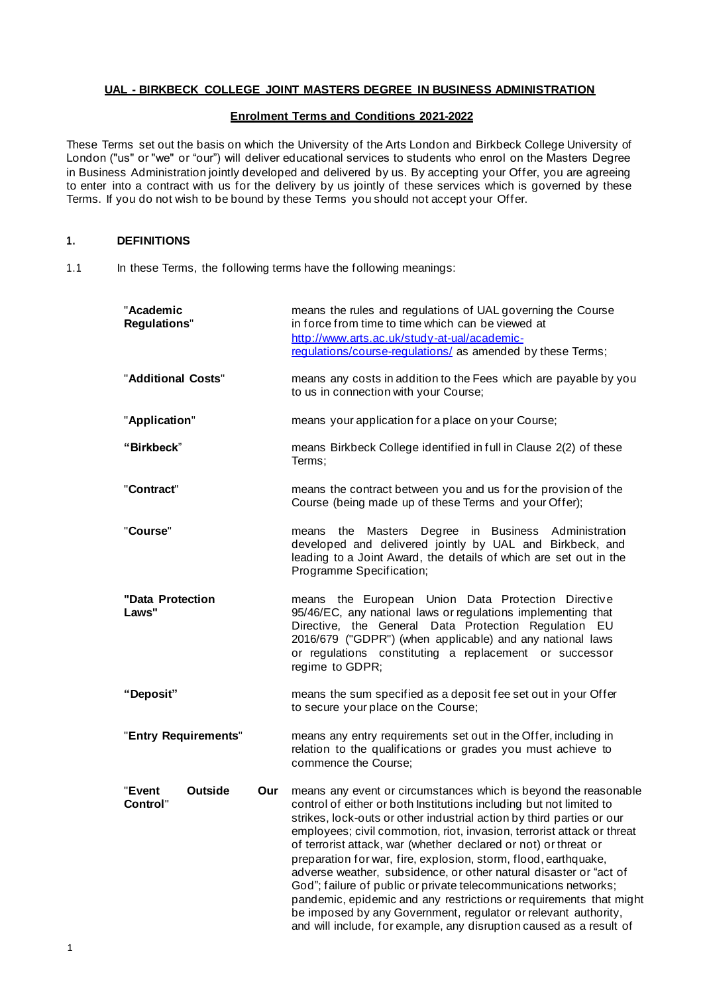### **UAL - BIRKBECK COLLEGE JOINT MASTERS DEGREE IN BUSINESS ADMINISTRATION**

### **Enrolment Terms and Conditions 2021-2022**

These Terms set out the basis on which the University of the Arts London and Birkbeck College University of London ("us" or "we" or "our") will deliver educational services to students who enrol on the Masters Degree in Business Administration jointly developed and delivered by us. By accepting your Offer, you are agreeing to enter into a contract with us for the delivery by us jointly of these services which is governed by these Terms. If you do not wish to be bound by these Terms you should not accept your Offer.

# **1. DEFINITIONS**

1.1 In these Terms, the following terms have the following meanings:

| "Academic<br><b>Regulations"</b>     |     | means the rules and regulations of UAL governing the Course<br>in force from time to time which can be viewed at<br>http://www.arts.ac.uk/study-at-ual/academic-<br>regulations/course-regulations/ as amended by these Terms;                                                                                                                                                                                                                                                                                                                                                                                                                                                                                                                                                         |
|--------------------------------------|-----|----------------------------------------------------------------------------------------------------------------------------------------------------------------------------------------------------------------------------------------------------------------------------------------------------------------------------------------------------------------------------------------------------------------------------------------------------------------------------------------------------------------------------------------------------------------------------------------------------------------------------------------------------------------------------------------------------------------------------------------------------------------------------------------|
| "Additional Costs"                   |     | means any costs in addition to the Fees which are payable by you<br>to us in connection with your Course;                                                                                                                                                                                                                                                                                                                                                                                                                                                                                                                                                                                                                                                                              |
| "Application"                        |     | means your application for a place on your Course;                                                                                                                                                                                                                                                                                                                                                                                                                                                                                                                                                                                                                                                                                                                                     |
| "Birkbeck"                           |     | means Birkbeck College identified in full in Clause 2(2) of these<br>Terms;                                                                                                                                                                                                                                                                                                                                                                                                                                                                                                                                                                                                                                                                                                            |
| "Contract"                           |     | means the contract between you and us for the provision of the<br>Course (being made up of these Terms and your Offer);                                                                                                                                                                                                                                                                                                                                                                                                                                                                                                                                                                                                                                                                |
| "Course"                             |     | means the Masters Degree in Business Administration<br>developed and delivered jointly by UAL and Birkbeck, and<br>leading to a Joint Award, the details of which are set out in the<br>Programme Specification;                                                                                                                                                                                                                                                                                                                                                                                                                                                                                                                                                                       |
| "Data Protection<br>Laws"            |     | means the European Union Data Protection Directive<br>95/46/EC, any national laws or regulations implementing that<br>Directive, the General Data Protection Regulation EU<br>2016/679 ("GDPR") (when applicable) and any national laws<br>or regulations constituting a replacement or successor<br>regime to GDPR;                                                                                                                                                                                                                                                                                                                                                                                                                                                                   |
| "Deposit"                            |     | means the sum specified as a deposit fee set out in your Offer<br>to secure your place on the Course;                                                                                                                                                                                                                                                                                                                                                                                                                                                                                                                                                                                                                                                                                  |
| "Entry Requirements"                 |     | means any entry requirements set out in the Offer, including in<br>relation to the qualifications or grades you must achieve to<br>commence the Course:                                                                                                                                                                                                                                                                                                                                                                                                                                                                                                                                                                                                                                |
| <b>Outside</b><br>"Event<br>Control" | Our | means any event or circumstances which is beyond the reasonable<br>control of either or both Institutions including but not limited to<br>strikes, lock-outs or other industrial action by third parties or our<br>employees; civil commotion, riot, invasion, terrorist attack or threat<br>of terrorist attack, war (whether declared or not) or threat or<br>preparation for war, fire, explosion, storm, flood, earthquake,<br>adverse weather, subsidence, or other natural disaster or "act of<br>God"; failure of public or private telecommunications networks;<br>pandemic, epidemic and any restrictions or requirements that might<br>be imposed by any Government, regulator or relevant authority,<br>and will include, for example, any disruption caused as a result of |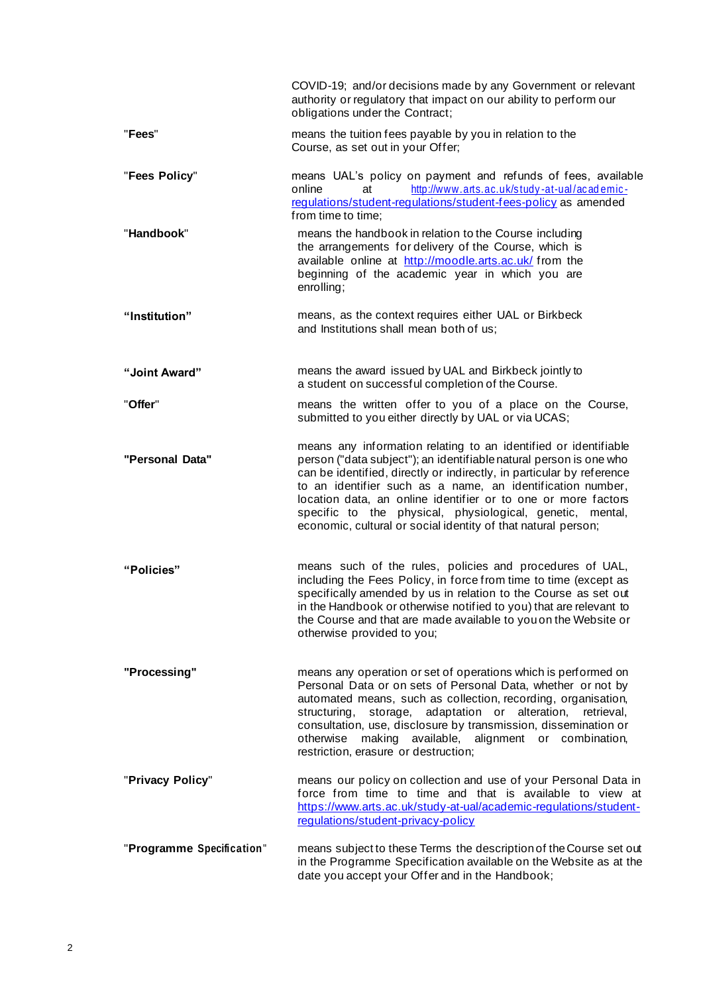|                           | COVID-19; and/or decisions made by any Government or relevant<br>authority or regulatory that impact on our ability to perform our<br>obligations under the Contract;                                                                                                                                                                                                                                                                                                       |
|---------------------------|-----------------------------------------------------------------------------------------------------------------------------------------------------------------------------------------------------------------------------------------------------------------------------------------------------------------------------------------------------------------------------------------------------------------------------------------------------------------------------|
| "Fees"                    | means the tuition fees payable by you in relation to the<br>Course, as set out in your Offer;                                                                                                                                                                                                                                                                                                                                                                               |
| "Fees Policy"             | means UAL's policy on payment and refunds of fees, available<br>http://www.arts.ac.uk/study-at-ual/academic-<br>online<br>at<br>regulations/student-regulations/student-fees-policy as amended<br>from time to time;                                                                                                                                                                                                                                                        |
| "Handbook"                | means the handbook in relation to the Course including<br>the arrangements for delivery of the Course, which is<br>available online at http://moodle.arts.ac.uk/ from the<br>beginning of the academic year in which you are<br>enrolling;                                                                                                                                                                                                                                  |
| "Institution"             | means, as the context requires either UAL or Birkbeck<br>and Institutions shall mean both of us:                                                                                                                                                                                                                                                                                                                                                                            |
| "Joint Award"             | means the award issued by UAL and Birkbeck jointly to<br>a student on successful completion of the Course.                                                                                                                                                                                                                                                                                                                                                                  |
| "Offer"                   | means the written offer to you of a place on the Course,<br>submitted to you either directly by UAL or via UCAS;                                                                                                                                                                                                                                                                                                                                                            |
| "Personal Data"           | means any information relating to an identified or identifiable<br>person ("data subject"); an identifiable natural person is one who<br>can be identified, directly or indirectly, in particular by reference<br>to an identifier such as a name, an identification number,<br>location data, an online identifier or to one or more factors<br>specific to the physical, physiological, genetic, mental,<br>economic, cultural or social identity of that natural person; |
| "Policies"                | means such of the rules, policies and procedures of UAL,<br>including the Fees Policy, in force from time to time (except as<br>specifically amended by us in relation to the Course as set out<br>in the Handbook or otherwise notified to you) that are relevant to<br>the Course and that are made available to you on the Website or<br>otherwise provided to you;                                                                                                      |
| "Processing"              | means any operation or set of operations which is performed on<br>Personal Data or on sets of Personal Data, whether or not by<br>automated means, such as collection, recording, organisation,<br>storage, adaptation or alteration,<br>structuring,<br>retrieval,<br>consultation, use, disclosure by transmission, dissemination or<br>making available, alignment or combination,<br>otherwise<br>restriction, erasure or destruction;                                  |
| "Privacy Policy"          | means our policy on collection and use of your Personal Data in<br>force from time to time and that is available to view at<br>https://www.arts.ac.uk/study-at-ual/academic-regulations/student-<br>regulations/student-privacy-policy                                                                                                                                                                                                                                      |
| "Programme Specification" | means subject to these Terms the description of the Course set out<br>in the Programme Specification available on the Website as at the<br>date you accept your Offer and in the Handbook;                                                                                                                                                                                                                                                                                  |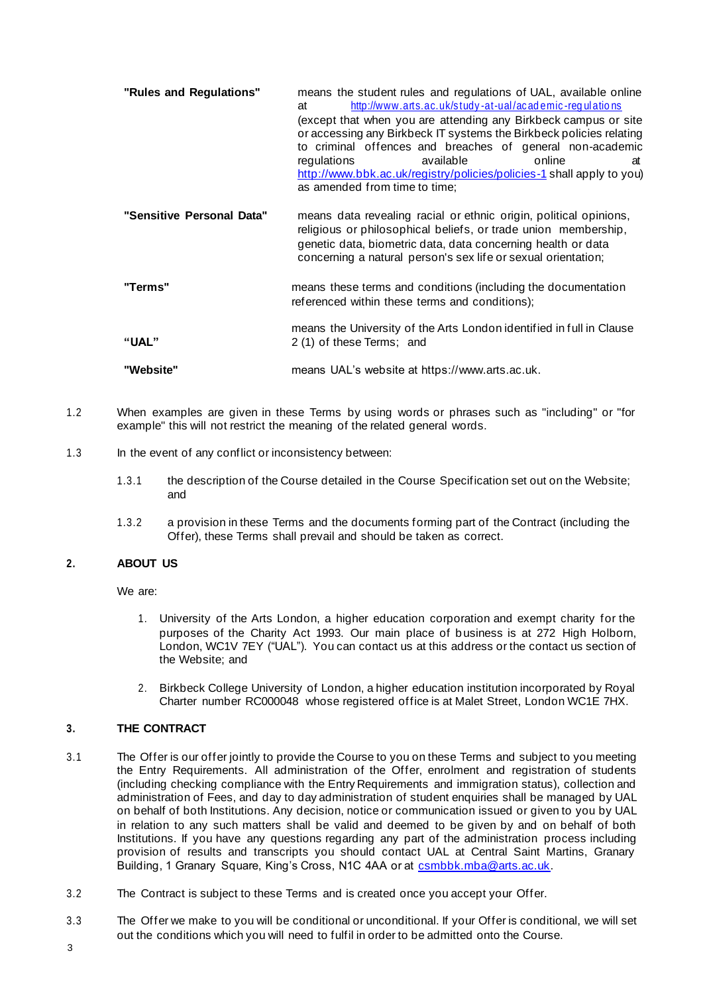- **"Rules and Regulations"** means the student rules and regulations of UAL, available online http://www.arts.ac.uk/study-at-ual/academic-regulations (except that when you are attending any Birkbeck campus or site or accessing any Birkbeck IT systems the Birkbeck policies relating to criminal offences and breaches of general non-academic<br>regulations available online at regulations available online at <http://www.bbk.ac.uk/registry/policies/policies-1> shall apply to you) as amended from time to time; **"Sensitive Personal Data"** means data revealing racial or ethnic origin, political opinions, religious or philosophical beliefs, or trade union membership, genetic data, biometric data, data concerning health or data concerning a natural person's sex life or sexual orientation;
- **"Terms"** means these terms and conditions (including the documentation referenced within these terms and conditions);
- **"UAL"** means the University of the Arts London identified in full in Clause 2 (1) of these Terms; and
- **"Website"** means UAL's website at https:[//www.arts.ac.uk.](http://www.arts.ac.uk/)
- 1.2 When examples are given in these Terms by using words or phrases such as "including" or "for example" this will not restrict the meaning of the related general words.
- 1.3 In the event of any conflict or inconsistency between:
	- 1.3.1 the description of the Course detailed in the Course Specification set out on the Website; and
	- 1.3.2 a provision in these Terms and the documents forming part of the Contract (including the Offer), these Terms shall prevail and should be taken as correct.

# **2. ABOUT US**

We are:

- 1. University of the Arts London, a higher education corporation and exempt charity for the purposes of the Charity Act 1993. Our main place of business is at 272 High Holborn, London, WC1V 7EY ("UAL"). You can contact us at this address or the contact us section of the Website; and
- 2. Birkbeck College University of London, a higher education institution incorporated by Royal Charter number RC000048 whose registered office is at Malet Street, London WC1E 7HX.

# **3. THE CONTRACT**

- 3.1 The Offer is our offer jointly to provide the Course to you on these Terms and subject to you meeting the Entry Requirements. All administration of the Offer, enrolment and registration of students (including checking compliance with the Entry Requirements and immigration status), collection and administration of Fees, and day to day administration of student enquiries shall be managed by UAL on behalf of both Institutions. Any decision, notice or communication issued or given to you by UAL in relation to any such matters shall be valid and deemed to be given by and on behalf of both Institutions. If you have any questions regarding any part of the administration process including provision of results and transcripts you should contact UAL at Central Saint Martins, Granary Building, 1 Granary Square, King's Cross, N1C 4AA or at [csmbbk.mba@arts.ac.uk](mailto:csmbbk.mba@arts.ac.uk).
- 3.2 The Contract is subject to these Terms and is created once you accept your Offer.
- 3.3 The Offer we make to you will be conditional or unconditional. If your Offer is conditional, we will set out the conditions which you will need to fulfil in order to be admitted onto the Course.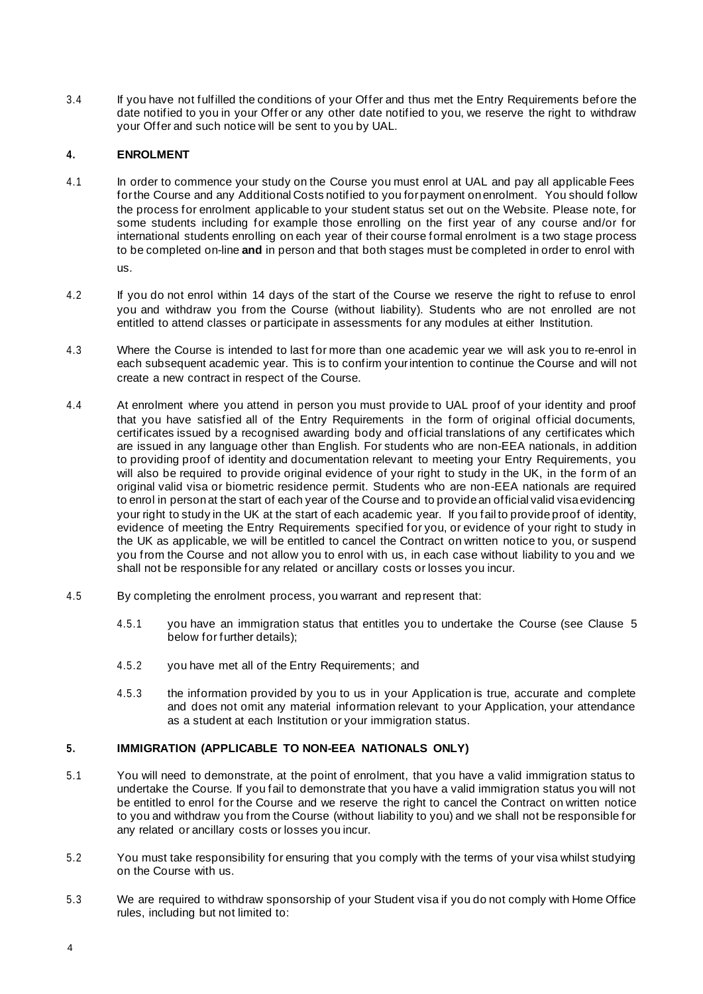3.4 If you have not fulfilled the conditions of your Offer and thus met the Entry Requirements before the date notified to you in your Offer or any other date notified to you, we reserve the right to withdraw your Offer and such notice will be sent to you by UAL.

# <span id="page-3-1"></span>**4. ENROLMENT**

- 4.1 In order to commence your study on the Course you must enrol at UAL and pay all applicable Fees forthe Course and any Additional Costs notified to you forpayment onenrolment. You should follow the process for enrolment applicable to your student status set out on the Website. Please note, for some students including for example those enrolling on the first year of any course and/or for international students enrolling on each year of their course formal enrolment is a two stage process to be completed on-line **and** in person and that both stages must be completed in order to enrol with us.
- 4.2 If you do not enrol within 14 days of the start of the Course we reserve the right to refuse to enrol you and withdraw you from the Course (without liability). Students who are not enrolled are not entitled to attend classes or participate in assessments for any modules at either Institution.
- 4.3 Where the Course is intended to last for more than one academic year we will ask you to re-enrol in each subsequent academic year. This is to confirm yourintention to continue the Course and will not create a new contract in respect of the Course.
- 4.4 At enrolment where you attend in person you must provide to UAL proof of your identity and proof that you have satisfied all of the Entry Requirements in the form of original official documents, certificates issued by a recognised awarding body and official translations of any certificates which are issued in any language other than English. For students who are non-EEA nationals, in addition to providing proof of identity and documentation relevant to meeting your Entry Requirements, you will also be required to provide original evidence of your right to study in the UK, in the form of an original valid visa or biometric residence permit. Students who are non-EEA nationals are required to enrol in person at the start of each year of the Course and to provide an official valid visa evidencing your right to study in the UK at the start of each academic year. If you fail to provide proof of identity, evidence of meeting the Entry Requirements specified for you, or evidence of your right to study in the UK as applicable, we will be entitled to cancel the Contract on written notice to you, or suspend you from the Course and not allow you to enrol with us, in each case without liability to you and we shall not be responsible for any related or ancillary costs or losses you incur.
- 4.5 By completing the enrolment process, you warrant and represent that:
	- 4.5.1 you have an immigration status that entitles you to undertake the Course (see Clause [5](#page-3-0) below for further details);
	- 4.5.2 you have met all of the Entry Requirements; and
	- 4.5.3 the information provided by you to us in your Application is true, accurate and complete and does not omit any material information relevant to your Application, your attendance as a student at each Institution or your immigration status.

# <span id="page-3-0"></span>**5. IMMIGRATION (APPLICABLE TO NON-EEA NATIONALS ONLY)**

- 5.1 You will need to demonstrate, at the point of enrolment, that you have a valid immigration status to undertake the Course. If you fail to demonstrate that you have a valid immigration status you will not be entitled to enrol for the Course and we reserve the right to cancel the Contract on written notice to you and withdraw you from the Course (without liability to you) and we shall not be responsible for any related or ancillary costs or losses you incur.
- 5.2 You must take responsibility for ensuring that you comply with the terms of your visa whilst studying on the Course with us.
- 5.3 We are required to withdraw sponsorship of your Student visa if you do not comply with Home Office rules, including but not limited to: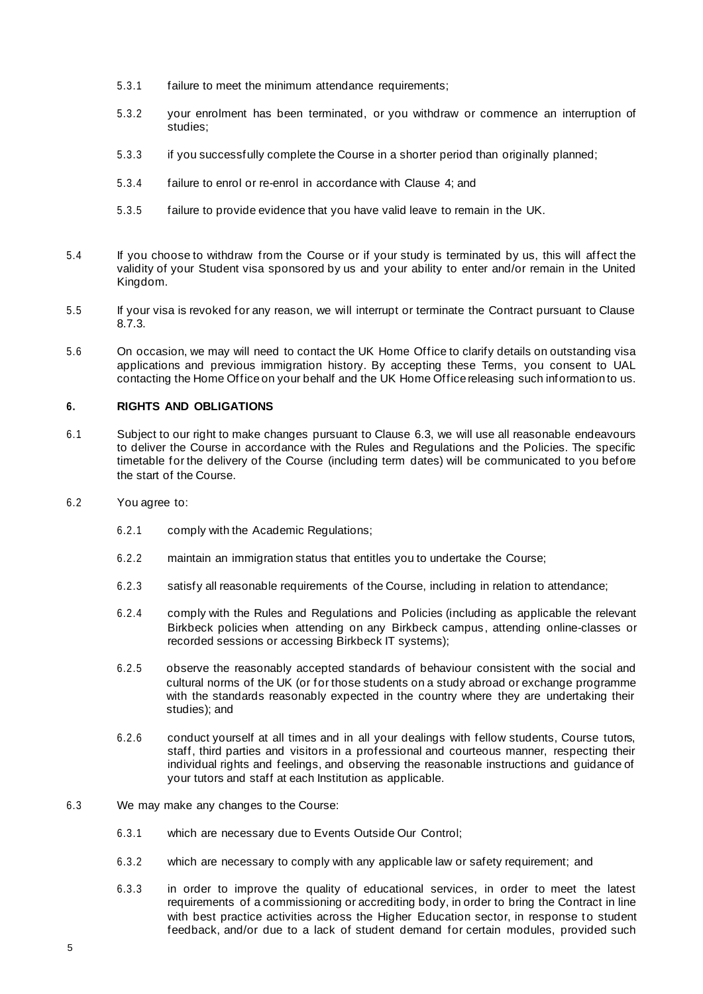- 5.3.1 failure to meet the minimum attendance requirements;
- 5.3.2 your enrolment has been terminated, or you withdraw or commence an interruption of studies;
- 5.3.3 if you successfully complete the Course in a shorter period than originally planned;
- 5.3.4 failure to enrol or re-enrol in accordance with Clause [4;](#page-3-1) and
- 5.3.5 failure to provide evidence that you have valid leave to remain in the UK.
- 5.4 If you choose to withdraw from the Course or if your study is terminated by us, this will affect the validity of your Student visa sponsored by us and your ability to enter and/or remain in the United Kingdom.
- 5.5 If your visa is revoked for any reason, we will interrupt or terminate the Contract pursuant to Clause 8.7.3.
- 5.6 On occasion, we may will need to contact the UK Home Office to clarify details on outstanding visa applications and previous immigration history. By accepting these Terms, you consent to UAL contacting the Home Office on your behalf and the UK Home Office releasing such information to us.

# **6. RIGHTS AND OBLIGATIONS**

- 6.1 Subject to our right to make changes pursuant to Clause [6.3,](#page-4-0) we will use all reasonable endeavours to deliver the Course in accordance with the Rules and Regulations and the Policies. The specific timetable for the delivery of the Course (including term dates) will be communicated to you before the start of the Course.
- 6.2 You agree to:
	- 6.2.1 comply with the Academic Regulations;
	- 6.2.2 maintain an immigration status that entitles you to undertake the Course;
	- 6.2.3 satisfy all reasonable requirements of the Course, including in relation to attendance;
	- 6.2.4 comply with the Rules and Regulations and Policies (including as applicable the relevant Birkbeck policies when attending on any Birkbeck campus, attending online-classes or recorded sessions or accessing Birkbeck IT systems);
	- 6.2.5 observe the reasonably accepted standards of behaviour consistent with the social and cultural norms of the UK (or for those students on a study abroad or exchange programme with the standards reasonably expected in the country where they are undertaking their studies); and
	- 6.2.6 conduct yourself at all times and in all your dealings with fellow students, Course tutors, staff, third parties and visitors in a professional and courteous manner, respecting their individual rights and feelings, and observing the reasonable instructions and guidance of your tutors and staff at each Institution as applicable.
- <span id="page-4-0"></span>6.3 We may make any changes to the Course:
	- 6.3.1 which are necessary due to Events Outside Our Control;
	- 6.3.2 which are necessary to comply with any applicable law or safety requirement; and
	- 6.3.3 in order to improve the quality of educational services, in order to meet the latest requirements of a commissioning or accrediting body, in order to bring the Contract in line with best practice activities across the Higher Education sector, in response to student feedback, and/or due to a lack of student demand for certain modules, provided such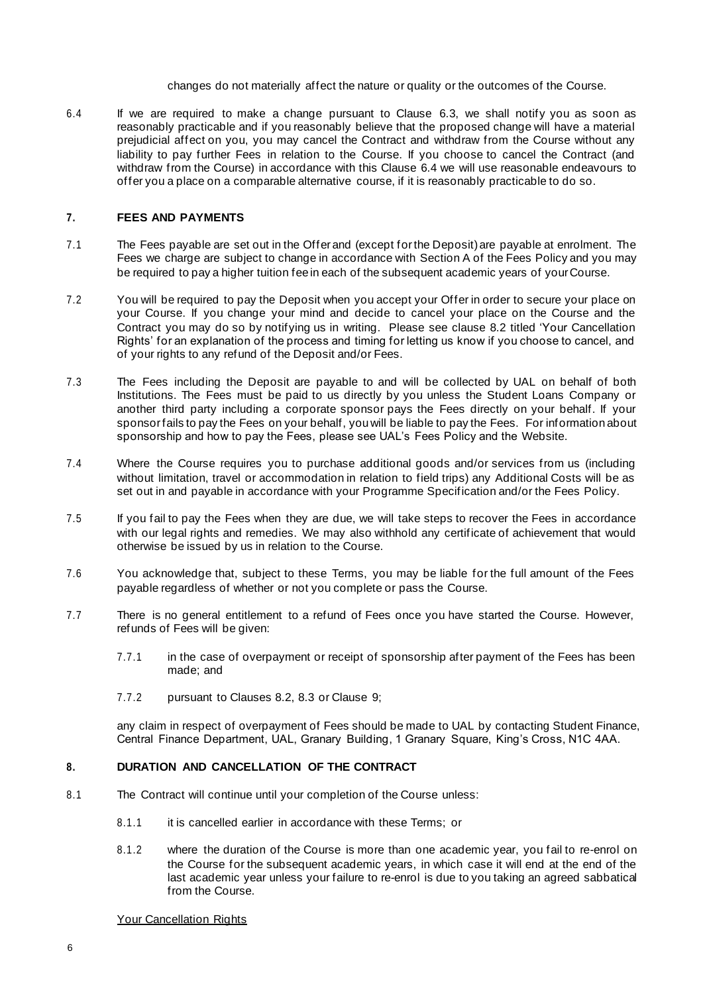changes do not materially affect the nature or quality or the outcomes of the Course.

<span id="page-5-0"></span>6.4 If we are required to make a change pursuant to Clause [6.3,](#page-4-0) we shall notify you as soon as reasonably practicable and if you reasonably believe that the proposed change will have a material prejudicial affect on you, you may cancel the Contract and withdraw from the Course without any liability to pay further Fees in relation to the Course. If you choose to cancel the Contract (and withdraw from the Course) in accordance with this Clause [6.4](#page-5-0) we will use reasonable endeavours to offer you a place on a comparable alternative course, if it is reasonably practicable to do so.

### **7. FEES AND PAYMENTS**

- 7.1 The Fees payable are set out in the Offerand (except forthe Deposit)are payable at enrolment. The Fees we charge are subject to change in accordance with Section A of the Fees Policy and you may be required to pay a higher tuition feein each of the subsequent academic years of yourCourse.
- 7.2 You will be required to pay the Deposit when you accept your Offer in order to secure your place on your Course. If you change your mind and decide to cancel your place on the Course and the Contract you may do so by notifying us in writing. Please see clause 8.2 titled 'Your Cancellation Rights' for an explanation of the process and timing for letting us know if you choose to cancel, and of your rights to any refund of the Deposit and/or Fees.
- 7.3 The Fees including the Deposit are payable to and will be collected by UAL on behalf of both Institutions. The Fees must be paid to us directly by you unless the Student Loans Company or another third party including a corporate sponsor pays the Fees directly on your behalf. If your sponsorfails to pay the Fees on your behalf, youwill be liable to pay the Fees. For information about sponsorship and how to pay the Fees, please see UAL's Fees Policy and the Website.
- 7.4 Where the Course requires you to purchase additional goods and/or services from us (including without limitation, travel or accommodation in relation to field trips) any Additional Costs will be as set out in and payable in accordance with your Programme Specification and/or the Fees Policy.
- 7.5 If you fail to pay the Fees when they are due, we will take steps to recover the Fees in accordance with our legal rights and remedies. We may also withhold any certificate of achievement that would otherwise be issued by us in relation to the Course.
- 7.6 You acknowledge that, subject to these Terms, you may be liable for the full amount of the Fees payable regardless of whether or not you complete or pass the Course.
- 7.7 There is no general entitlement to a refund of Fees once you have started the Course. However, refunds of Fees will be given:
	- 7.7.1 in the case of overpayment or receipt of sponsorship after payment of the Fees has been made; and
	- 7.7.2 pursuant to Clauses 8.2, 8.3 or Clause [9;](#page-7-0)

any claim in respect of overpayment of Fees should be made to UAL by contacting Student Finance, Central Finance Department, UAL, Granary Building, 1 Granary Square, King's Cross, N1C 4AA.

### **8. DURATION AND CANCELLATION OF THE CONTRACT**

- 8.1 The Contract will continue until your completion of the Course unless:
	- 8.1.1 it is cancelled earlier in accordance with these Terms; or
	- 8.1.2 where the duration of the Course is more than one academic year, you fail to re-enrol on the Course for the subsequent academic years, in which case it will end at the end of the last academic year unless your failure to re-enrol is due to you taking an agreed sabbatical from the Course.

#### Your Cancellation Rights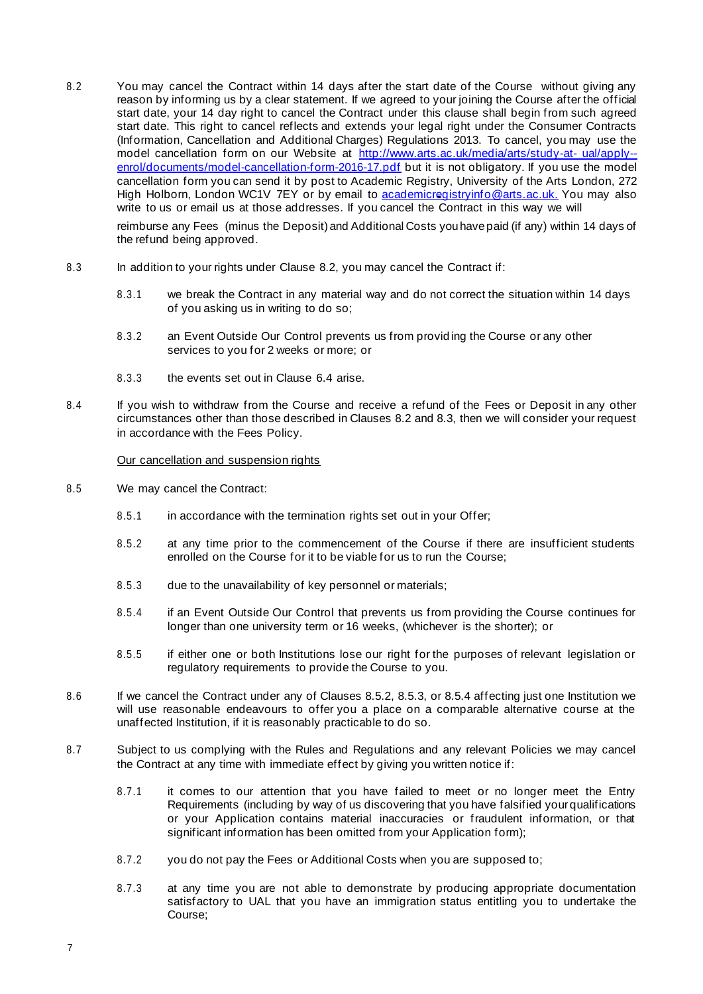8.2 You may cancel the Contract within 14 days after the start date of the Course without giving any reason by informing us by a clear statement. If we agreed to your joining the Course after the official start date, your 14 day right to cancel the Contract under this clause shall begin from such agreed start date. This right to cancel reflects and extends your legal right under the Consumer Contracts (Information, Cancellation and Additional Charges) Regulations 2013. To cancel, you may use the model cancellation form on our Website at [http://www.arts.ac.uk/media/arts/study-at-](http://www.arts.ac.uk/media/arts/study-at-ual/apply--enrol/documents/model-cancellation-form-2016-17.pdf) [ual/apply-](http://www.arts.ac.uk/media/arts/study-at-ual/apply--enrol/documents/model-cancellation-form-2016-17.pdf) [enrol/documents/model-cancellation-form-2016-17.pdf](http://www.arts.ac.uk/media/arts/study-at-ual/apply--enrol/documents/model-cancellation-form-2016-17.pdf) but it is not obligatory. If you use the model cancellation form you can send it by post to Academic Registry, University of the Arts London, 272 High Holborn, London WC1V 7EY or by email [to](mailto:to_admissons@arts.ac.uk) [academicregistryinfo@arts.ac.uk.](mailto:academicregistryinfo@arts.ac.uk) You may also write to us or email us at those addresses. If you cancel the Contract in this way we will

reimburse any Fees (minus the Deposit) and Additional Costs you have paid (if any) within 14 days of the refund being approved.

- 8.3 In addition to your rights under Clause 8.2, you may cancel the Contract if:
	- 8.3.1 we break the Contract in any material way and do not correct the situation within 14 days of you asking us in writing to do so;
	- 8.3.2 an Event Outside Our Control prevents us from providing the Course or any other services to you for 2 weeks or more; or
	- 8.3.3 the events set out in Clause [6.4](#page-5-0) arise.
- 8.4 If you wish to withdraw from the Course and receive a refund of the Fees or Deposit in any other circumstances other than those described in Clauses 8.2 and 8.3, then we will consider your request in accordance with the Fees Policy.

Our cancellation and suspension rights

- 8.5 We may cancel the Contract:
	- 8.5.1 in accordance with the termination rights set out in your Offer;
	- 8.5.2 at any time prior to the commencement of the Course if there are insufficient students enrolled on the Course for it to be viable for us to run the Course;
	- 8.5.3 due to the unavailability of key personnel or materials;
	- 8.5.4 if an Event Outside Our Control that prevents us from providing the Course continues for longer than one university term or 16 weeks, (whichever is the shorter); or
	- 8.5.5 if either one or both Institutions lose our right for the purposes of relevant legislation or regulatory requirements to provide the Course to you.
- 8.6 If we cancel the Contract under any of Clauses 8.5.2, 8.5.3, or 8.5.4 affecting just one Institution we will use reasonable endeavours to offer you a place on a comparable alternative course at the unaffected Institution, if it is reasonably practicable to do so.
- 8.7 Subject to us complying with the Rules and Regulations and any relevant Policies we may cancel the Contract at any time with immediate effect by giving you written notice if:
	- 8.7.1 it comes to our attention that you have failed to meet or no longer meet the Entry Requirements (including by way of us discovering that you have falsified yourqualifications or your Application contains material inaccuracies or fraudulent information, or that significant information has been omitted from your Application form);
	- 8.7.2 you do not pay the Fees or Additional Costs when you are supposed to;
	- 8.7.3 at any time you are not able to demonstrate by producing appropriate documentation satisfactory to UAL that you have an immigration status entitling you to undertake the Course;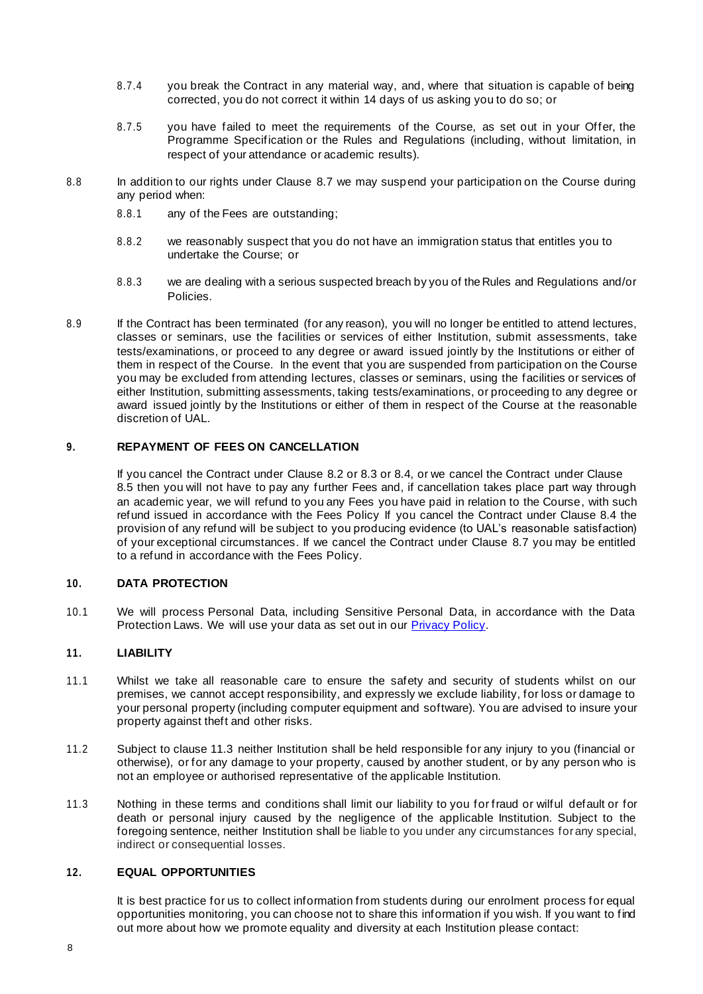- 8.7.4 you break the Contract in any material way, and, where that situation is capable of being corrected, you do not correct it within 14 days of us asking you to do so; or
- 8.7.5 you have failed to meet the requirements of the Course, as set out in your Offer, the Programme Specification or the Rules and Regulations (including, without limitation, in respect of your attendance or academic results).
- 8.8 In addition to our rights under Clause 8.7 we may suspend your participation on the Course during any period when:
	- 8.8.1 any of the Fees are outstanding;
	- 8.8.2 we reasonably suspect that you do not have an immigration status that entitles you to undertake the Course; or
	- 8.8.3 we are dealing with a serious suspected breach by you of theRules and Regulations and/or Policies.
- 8.9 If the Contract has been terminated (for any reason), you will no longer be entitled to attend lectures, classes or seminars, use the facilities or services of either Institution, submit assessments, take tests/examinations, or proceed to any degree or award issued jointly by the Institutions or either of them in respect of the Course. In the event that you are suspended from participation on the Course you may be excluded from attending lectures, classes or seminars, using the facilities or services of either Institution, submitting assessments, taking tests/examinations, or proceeding to any degree or award issued jointly by the Institutions or either of them in respect of the Course at the reasonable discretion of UAL.

# <span id="page-7-0"></span>**9. REPAYMENT OF FEES ON CANCELLATION**

If you cancel the Contract under Clause 8.2 or 8.3 or 8.4, or we cancel the Contract under Clause 8.5 then you will not have to pay any further Fees and, if cancellation takes place part way through an academic year, we will refund to you any Fees you have paid in relation to the Course, with such refund issued in accordance with the Fees Policy If you cancel the Contract under Clause 8.4 the provision of any refund will be subject to you producing evidence (to UAL's reasonable satisfaction) of your exceptional circumstances. If we cancel the Contract under Clause 8.7 you may be entitled to a refund in accordance with the Fees Policy.

### **10. DATA PROTECTION**

10.1 We will process Personal Data, including Sensitive Personal Data, in accordance with the Data Protection Laws. We will use your data as set out in our **[Privacy](https://www.arts.ac.uk/study-at-ual/academic-regulations/student-regulations/student-privacy-policy) Policy**.

# **11. LIABILITY**

- 11.1 Whilst we take all reasonable care to ensure the safety and security of students whilst on our premises, we cannot accept responsibility, and expressly we exclude liability, for loss or damage to your personal property (including computer equipment and software). You are advised to insure your property against theft and other risks.
- 11.2 Subject to clause 11.3 neither Institution shall be held responsible for any injury to you (financial or otherwise), or for any damage to your property, caused by another student, or by any person who is not an employee or authorised representative of the applicable Institution.
- 11.3 Nothing in these terms and conditions shall limit our liability to you for fraud or wilful default or for death or personal injury caused by the negligence of the applicable Institution. Subject to the foregoing sentence, neither Institution shall be liable to you under any circumstances forany special, indirect or consequential losses.

### **12. EQUAL OPPORTUNITIES**

It is best practice for us to collect information from students during our enrolment process for equal opportunities monitoring, you can choose not to share this information if you wish. If you want to find out more about how we promote equality and diversity at each Institution please contact: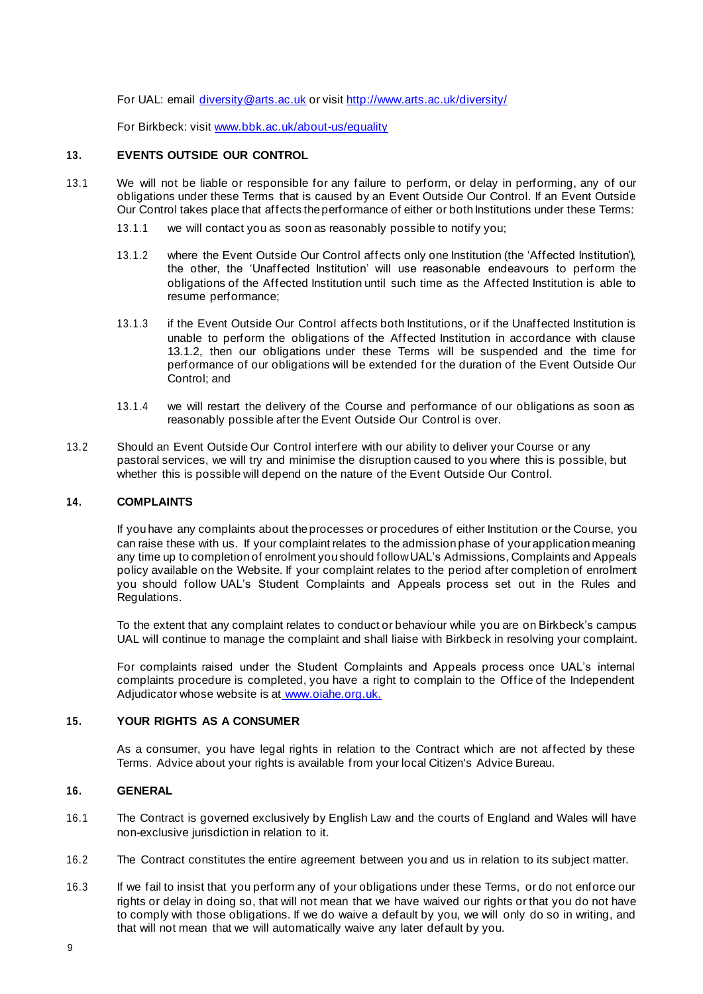For UAL: email [diversity@arts.ac.uk](mailto:diversity@arts.ac.uk) or visit<http://www.arts.ac.uk/diversity/>

For Birkbeck: visit [www.bbk.ac.uk/about-us/equality](http://www.bbk.ac.uk/about-us/equality)

### **13. EVENTS OUTSIDE OUR CONTROL**

- 13.1 We will not be liable or responsible for any failure to perform, or delay in performing, any of our obligations under these Terms that is caused by an Event Outside Our Control. If an Event Outside Our Control takes place that affects the performance of either or both Institutions under these Terms:
	- 13.1.1 we will contact you as soon as reasonably possible to notify you;
	- 13.1.2 where the Event Outside Our Control affects only one Institution (the 'Affected Institution'), the other, the 'Unaffected Institution' will use reasonable endeavours to perform the obligations of the Affected Institution until such time as the Affected Institution is able to resume performance;
	- 13.1.3 if the Event Outside Our Control affects both Institutions, or if the Unaffected Institution is unable to perform the obligations of the Affected Institution in accordance with clause 13.1.2, then our obligations under these Terms will be suspended and the time for performance of our obligations will be extended for the duration of the Event Outside Our Control; and
	- 13.1.4 we will restart the delivery of the Course and performance of our obligations as soon as reasonably possible after the Event Outside Our Control is over.
- 13.2 Should an Event Outside Our Control interfere with our ability to deliver your Course or any pastoral services, we will try and minimise the disruption caused to you where this is possible, but whether this is possible will depend on the nature of the Event Outside Our Control.

## **14. COMPLAINTS**

If you have any complaints about theprocesses or procedures of either Institution or the Course, you can raise these with us. If your complaint relates to the admission phase of yourapplication meaning any time up to completion of enrolment you should followUAL's Admissions, Complaints and Appeals policy available on the Website. If your complaint relates to the period after completion of enrolment you should follow UAL's Student Complaints and Appeals process set out in the Rules and Regulations.

To the extent that any complaint relates to conduct or behaviour while you are on Birkbeck's campus UAL will continue to manage the complaint and shall liaise with Birkbeck in resolving your complaint.

For complaints raised under the Student Complaints and Appeals process once UAL's internal complaints procedure is completed, you have a right to complain to the Office of the Independent Adjudicator whose website is at [www.oiahe.org.uk.](http://www.oiahe.org.uk/)

## **15. YOUR RIGHTS AS A CONSUMER**

As a consumer, you have legal rights in relation to the Contract which are not affected by these Terms. Advice about your rights is available from your local Citizen's Advice Bureau.

### **16. GENERAL**

- 16.1 The Contract is governed exclusively by English Law and the courts of England and Wales will have non-exclusive jurisdiction in relation to it.
- 16.2 The Contract constitutes the entire agreement between you and us in relation to its subject matter.
- 16.3 If we fail to insist that you perform any of your obligations under these Terms, or do not enforce our rights or delay in doing so, that will not mean that we have waived our rights or that you do not have to comply with those obligations. If we do waive a default by you, we will only do so in writing, and that will not mean that we will automatically waive any later default by you.